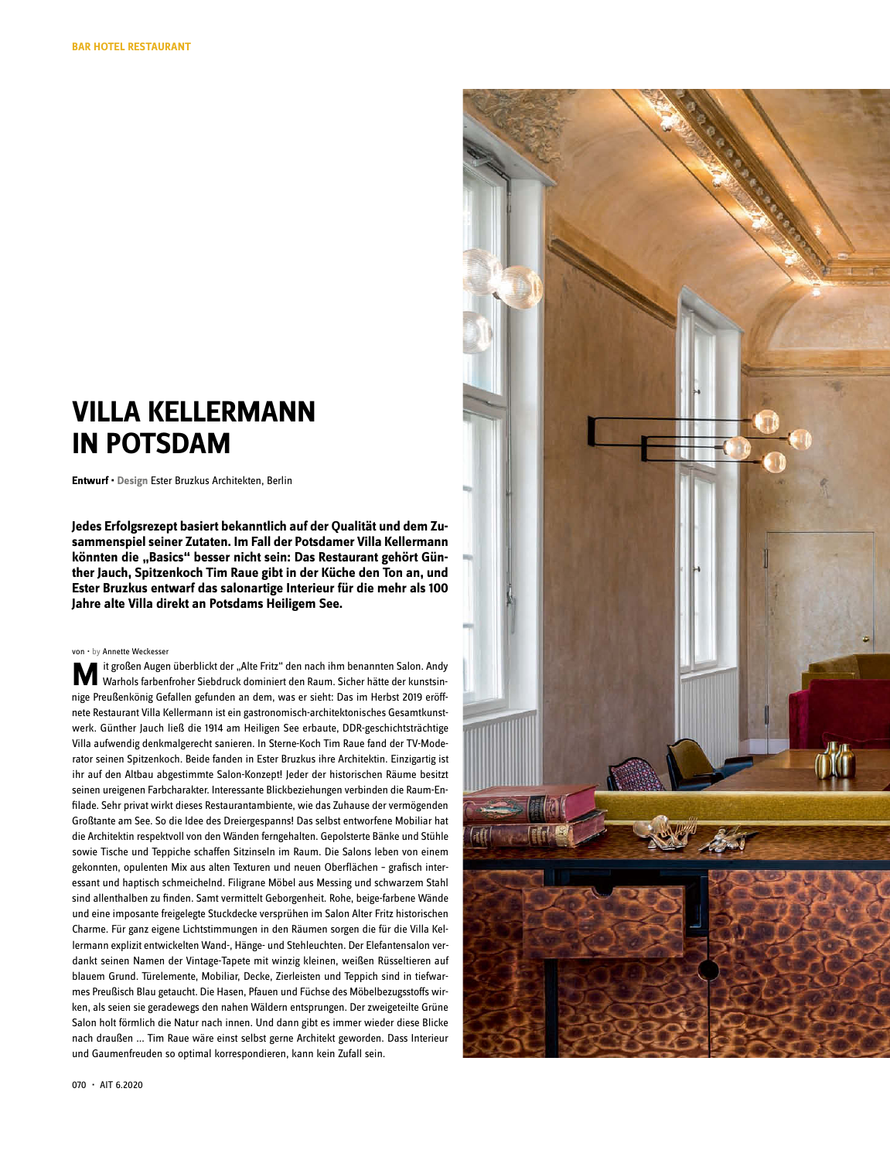## **VILLA KELLERMANN IN POTSDAM**

**Entwurf • Design** Ester Bruzkus Architekten, Berlin

**Jedes Erfolgsrezept basiert bekanntlich auf der Qualität und dem Zusammenspiel seiner Zutaten. Im Fall der Potsdamer Villa Kellermann** könnten die "Basics" besser nicht sein: Das Restaurant gehört Gün**ther Jauch, Spitzenkoch Tim Raue gibt in der Küche den Ton an, und Ester Bruzkus entwarf das salonartige Interieur für die mehr als 100 Jahre alte Villa direkt an Potsdams Heiligem See.**

## von • by Annette Weckesser

it großen Augen überblickt der "Alte Fritz" den nach ihm benannten Salon. Andy Warhols farbenfroher Siebdruck dominiert den Raum. Sicher hätte der kunstsinnige Preußenkönig Gefallen gefunden an dem, was er sieht: Das im Herbst 2019 eröffnete Restaurant Villa Kellermann ist ein gastronomisch-architektonisches Gesamtkunstwerk. Günther Jauch ließ die 1914 am Heiligen See erbaute, DDR-geschichtsträchtige Villa aufwendig denkmalgerecht sanieren. In Sterne-Koch Tim Raue fand der TV-Moderator seinen Spitzenkoch. Beide fanden in Ester Bruzkus ihre Architektin. Einzigartig ist ihr auf den Altbau abgestimmte Salon-Konzept! Jeder der historischen Räume besitzt seinen ureigenen Farbcharakter. Interessante Blickbeziehungen verbinden die Raum-Enfilade. Sehr privat wirkt dieses Restaurantambiente, wie das Zuhause der vermögenden Großtante am See. So die Idee des Dreiergespanns! Das selbst entworfene Mobiliar hat die Architektin respektvoll von den Wänden ferngehalten. Gepolsterte Bänke und Stühle sowie Tische und Teppiche schaffen Sitzinseln im Raum. Die Salons leben von einem gekonnten, opulenten Mix aus alten Texturen und neuen Oberflächen – grafisch interessant und haptisch schmeichelnd. Filigrane Möbel aus Messing und schwarzem Stahl sind allenthalben zu finden. Samt vermittelt Geborgenheit. Rohe, beige-farbene Wände und eine imposante freigelegte Stuckdecke versprühen im Salon Alter Fritz historischen Charme. Für ganz eigene Lichtstimmungen in den Räumen sorgen die für die Villa Kellermann explizit entwickelten Wand-, Hänge- und Stehleuchten. Der Elefantensalon verdankt seinen Namen der Vintage-Tapete mit winzig kleinen, weißen Rüsseltieren auf blauem Grund. Türelemente, Mobiliar, Decke, Zierleisten und Teppich sind in tiefwarmes Preußisch Blau getaucht. Die Hasen, Pfauen und Füchse des Möbelbezugsstoffs wirken, als seien sie geradewegs den nahen Wäldern entsprungen. Der zweigeteilte Grüne Salon holt förmlich die Natur nach innen. Und dann gibt es immer wieder diese Blicke nach draußen ... Tim Raue wäre einst selbst gerne Architekt geworden. Dass Interieur und Gaumenfreuden so optimal korrespondieren, kann kein Zufall sein. **M**

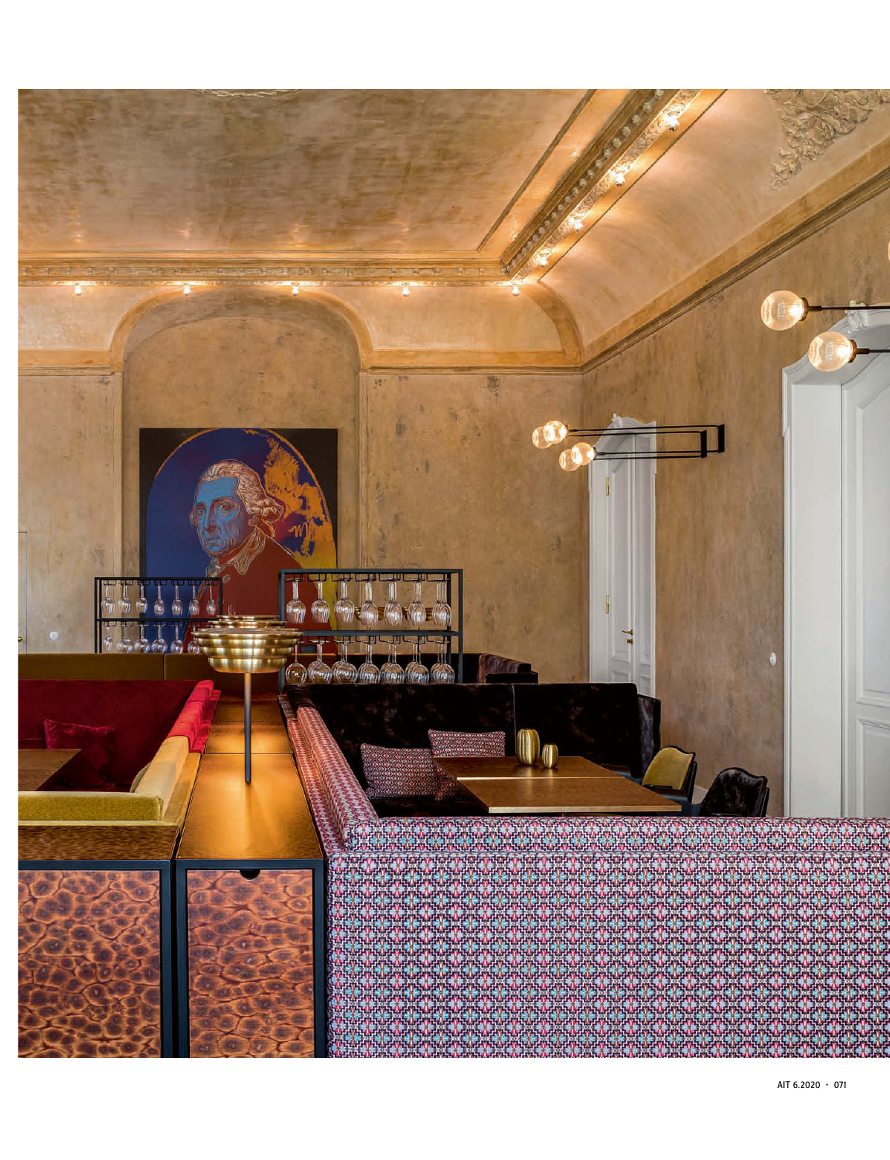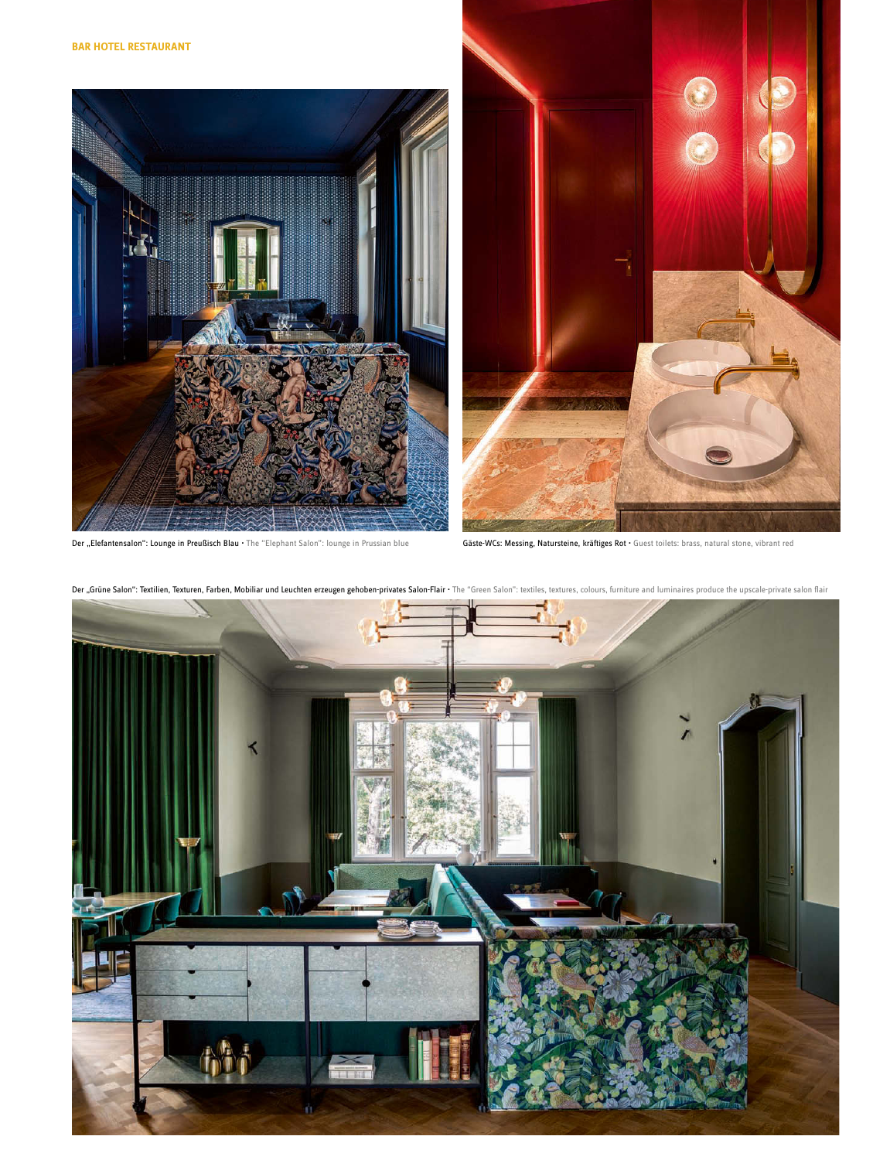

Der "Elefantensalon": Lounge in Preußisch Blau · The "Elephant Salon": lounge in Prussian blue



Gäste-WCs: Messing, Natursteine, kräftiges Rot • Guest toilets: brass, natural stone, vibrant red



Der "Grüne Salon": Textilien, Texturen, Farben, Mobiliar und Leuchten erzeugen gehoben-privates Salon-Flair · The "Green Salon": textiles, textures, colours, furniture and luminaires produce the upscale-private salon flair